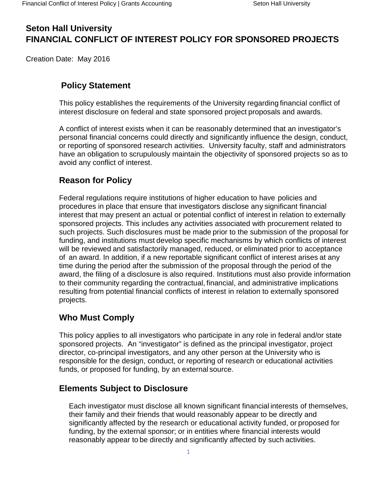# **Seton Hall University FINANCIAL CONFLICT OF INTEREST POLICY FOR SPONSORED PROJECTS**

Creation Date: May 2016

# **Policy Statement**

This policy establishes the requirements of the University regarding financial conflict of interest disclosure on federal and state sponsored project proposals and awards.

A conflict of interest exists when it can be reasonably determined that an investigator's personal financial concerns could directly and significantly influence the design, conduct, or reporting of sponsored research activities. University faculty, staff and administrators have an obligation to scrupulously maintain the objectivity of sponsored projects so as to avoid any conflict of interest.

# **Reason for Policy**

Federal regulations require institutions of higher education to have policies and procedures in place that ensure that investigators disclose any significant financial interest that may present an actual or potential conflict of interest in relation to externally sponsored projects. This includes any activities associated with procurement related to such projects. Such disclosures must be made prior to the submission of the proposal for funding, and institutions must develop specific mechanisms by which conflicts of interest will be reviewed and satisfactorily managed, reduced, or eliminated prior to acceptance of an award. In addition, if a new reportable significant conflict of interest arises at any time during the period after the submission of the proposal through the period of the award, the filing of a disclosure is also required. Institutions must also provide information to their community regarding the contractual, financial, and administrative implications resulting from potential financial conflicts of interest in relation to externally sponsored projects.

# **Who Must Comply**

This policy applies to all investigators who participate in any role in federal and/or state sponsored projects. An "investigator" is defined as the principal investigator, project director, co-principal investigators, and any other person at the University who is responsible for the design, conduct, or reporting of research or educational activities funds, or proposed for funding, by an external source.

# **Elements Subject to Disclosure**

Each investigator must disclose all known significant financial interests of themselves, their family and their friends that would reasonably appear to be directly and significantly affected by the research or educational activity funded, or proposed for funding, by the external sponsor; or in entities where financial interests would reasonably appear to be directly and significantly affected by such activities.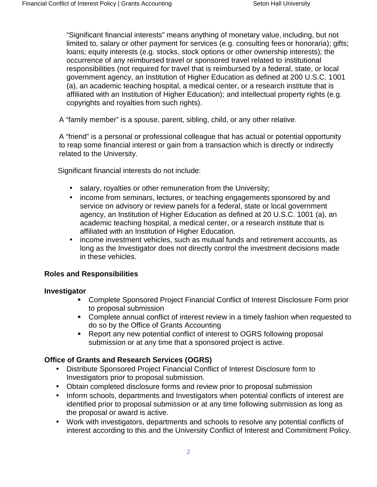"Significant financial interests" means anything of monetary value, including, but not limited to, salary or other payment for services (e.g. consulting fees or honoraria); gifts; loans; equity interests (e.g. stocks, stock options or other ownership interests); the occurrence of any reimbursed travel or sponsored travel related to institutional responsibilities (not required for travel that is reimbursed by a federal, state, or local government agency, an Institution of Higher Education as defined at 200 U.S.C. 1001 (a), an academic teaching hospital, a medical center, or a research institute that is affiliated with an Institution of Higher Education); and intellectual property rights (e.g. copyrights and royalties from such rights).

A "family member" is a spouse, parent, sibling, child, or any other relative.

A "friend" is a personal or professional colleague that has actual or potential opportunity to reap some financial interest or gain from a transaction which is directly or indirectly related to the University.

Significant financial interests do not include:

- salary, royalties or other remuneration from the University;
- income from seminars, lectures, or teaching engagements sponsored by and service on advisory or review panels for a federal, state or local government agency, an Institution of Higher Education as defined at 20 U.S.C. 1001 (a), an academic teaching hospital, a medical center, or a research institute that is affiliated with an Institution of Higher Education.
- income investment vehicles, such as mutual funds and retirement accounts, as long as the Investigator does not directly control the investment decisions made in these vehicles.

### **Roles and Responsibilities**

#### **Investigator**

- Complete Sponsored Project Financial Conflict of Interest Disclosure Form prior to proposal submission
- Complete annual conflict of interest review in a timely fashion when requested to do so by the Office of Grants Accounting
- Report any new potential conflict of interest to OGRS following proposal submission or at any time that a sponsored project is active.

### **Office of Grants and Research Services (OGRS)**

- Distribute Sponsored Project Financial Conflict of Interest Disclosure form to Investigators prior to proposal submission.
- Obtain completed disclosure forms and review prior to proposal submission
- Inform schools, departments and Investigators when potential conflicts of interest are identified prior to proposal submission or at any time following submission as long as the proposal or award is active.
- Work with investigators, departments and schools to resolve any potential conflicts of interest according to this and the University Conflict of Interest and Commitment Policy.